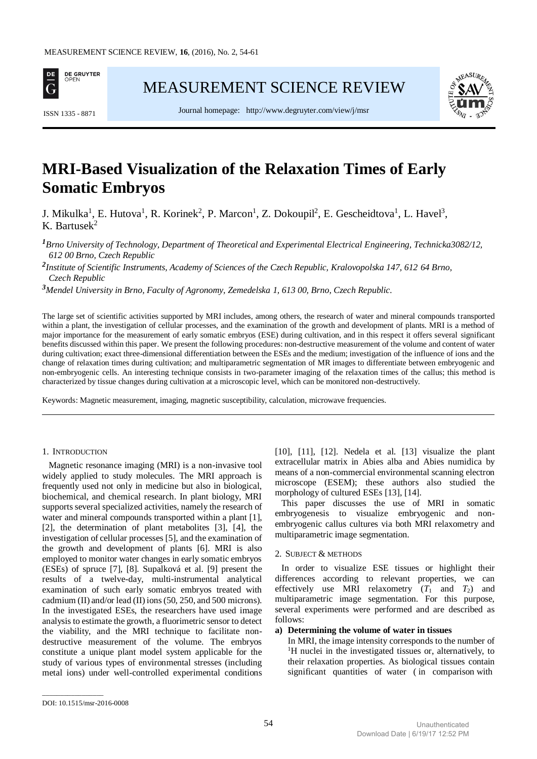

[MEASUREMENT SCIENCE REVIEW](http://www.measurement.sk/)



Journal homepage: <http://www.degruyter.com/view/j/msr> ISSN 1335 - <sup>8871</sup>

# **MRI-Based Visualization of the Relaxation Times of Early Somatic Embryos**

J. Mikulka<sup>1</sup>, E. Hutova<sup>1</sup>, R. Korinek<sup>2</sup>, P. Marcon<sup>1</sup>, Z. Dokoupil<sup>2</sup>, E. Gescheidtova<sup>1</sup>, L. Havel<sup>3</sup>, K. Bartusek $^2$ 

*<sup>1</sup>Brno University of Technology, Department of Theoretical and Experimental Electrical Engineering, Technicka3082/12, 612 00 Brno, Czech Republic*

*2 Institute of Scientific Instruments, Academy of Sciences of the Czech Republic, Kralovopolska 147, 612 64 Brno, Czech Republic*

*<sup>3</sup>Mendel University in Brno, Faculty of Agronomy, Zemedelska 1, 613 00, Brno, Czech Republic.*

The large set of scientific activities supported by MRI includes, among others, the research of water and mineral compounds transported within a plant, the investigation of cellular processes, and the examination of the growth and development of plants. MRI is a method of major importance for the measurement of early somatic embryos (ESE) during cultivation, and in this respect it offers several significant benefits discussed within this paper. We present the following procedures: non-destructive measurement of the volume and content of water during cultivation; exact three-dimensional differentiation between the ESEs and the medium; investigation of the influence of ions and the change of relaxation times during cultivation; and multiparametric segmentation of MR images to differentiate between embryogenic and non-embryogenic cells. An interesting technique consists in two-parameter imaging of the relaxation times of the callus; this method is characterized by tissue changes during cultivation at a microscopic level, which can be monitored non-destructively.

Keywords: Magnetic measurement, imaging, magnetic susceptibility, calculation, microwave frequencies.

## 1. INTRODUCTION

Magnetic resonance imaging (MRI) is a non-invasive tool widely applied to study molecules. The MRI approach is frequently used not only in medicine but also in biological, biochemical, and chemical research. In plant biology, MRI supports several specialized activities, namely the research of water and mineral compounds transported within a plant [1], [2], the determination of plant metabolites [3], [4], the investigation of cellular processes [5], and the examination of the growth and development of plants [6]. MRI is also employed to monitor water changes in early somatic embryos (ESEs) of spruce [7], [8]. Supalková et al. [9] present the results of a twelve-day, multi-instrumental analytical examination of such early somatic embryos treated with cadmium (II) and/or lead (II) ions (50, 250, and 500 microns). In the investigated ESEs, the researchers have used image analysis to estimate the growth, a fluorimetric sensor to detect the viability, and the MRI technique to facilitate nondestructive measurement of the volume. The embryos constitute a unique plant model system applicable for the study of various types of environmental stresses (including metal ions) under well-controlled experimental conditions

[10], [11], [12]. Nedela et al. [13] visualize the plant extracellular matrix in Abies alba and Abies numidica by means of a non-commercial environmental scanning electron microscope (ESEM); these authors also studied the morphology of cultured ESEs [13], [14].

This paper discusses the use of MRI in somatic embryogenesis to visualize embryogenic and nonembryogenic callus cultures via both MRI relaxometry and multiparametric image segmentation.

#### 2. SUBJECT & METHODS

In order to visualize ESE tissues or highlight their differences according to relevant properties, we can effectively use MRI relaxometry  $(T_1$  and  $T_2$ ) and multiparametric image segmentation. For this purpose, several experiments were performed and are described as follows:

#### **a) Determining the volume of water in tissues**

In MRI, the image intensity corresponds to the number of <sup>1</sup>H nuclei in the investigated tissues or, alternatively, to their relaxation properties. As biological tissues contain significant quantities of water ( in comparison with

\_\_\_\_\_\_\_\_\_\_\_\_\_\_\_\_\_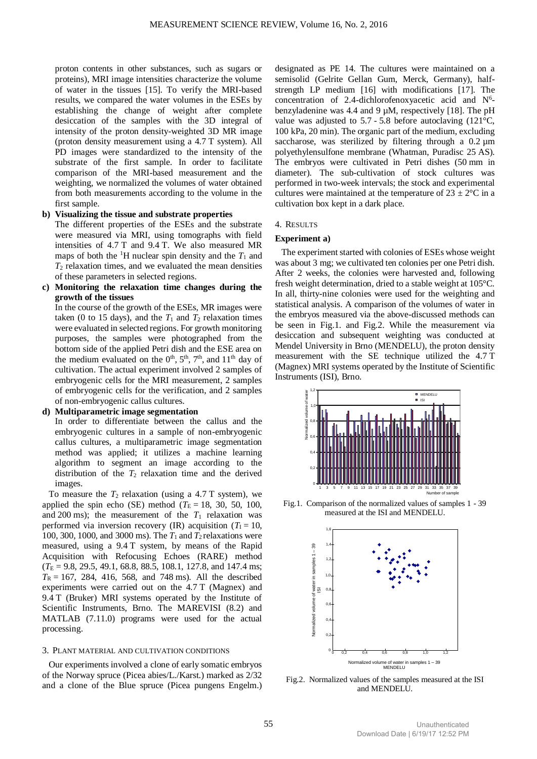proton contents in other substances, such as sugars or proteins), MRI image intensities characterize the volume of water in the tissues [15]. To verify the MRI-based results, we compared the water volumes in the ESEs by establishing the change of weight after complete desiccation of the samples with the 3D integral of intensity of the proton density-weighted 3D MR image (proton density measurement using a 4.7 T system). All PD images were standardized to the intensity of the substrate of the first sample. In order to facilitate comparison of the MRI-based measurement and the weighting, we normalized the volumes of water obtained from both measurements according to the volume in the first sample.

## **b) Visualizing the tissue and substrate properties**

The different properties of the ESEs and the substrate were measured via MRI, using tomographs with field intensities of 4.7 T and 9.4 T. We also measured MR maps of both the <sup>1</sup>H nuclear spin density and the  $T_1$  and  $T_2$  relaxation times, and we evaluated the mean densities of these parameters in selected regions.

**c) Monitoring the relaxation time changes during the growth of the tissues**

In the course of the growth of the ESEs, MR images were taken (0 to 15 days), and the  $T_1$  and  $T_2$  relaxation times were evaluated in selected regions. For growth monitoring purposes, the samples were photographed from the bottom side of the applied Petri dish and the ESE area on the medium evaluated on the  $0<sup>th</sup>$ ,  $5<sup>th</sup>$ ,  $7<sup>th</sup>$ , and  $11<sup>th</sup>$  day of cultivation. The actual experiment involved 2 samples of embryogenic cells for the MRI measurement, 2 samples of embryogenic cells for the verification, and 2 samples of non-embryogenic callus cultures.

## **d) Multiparametric image segmentation**

In order to differentiate between the callus and the embryogenic cultures in a sample of non-embryogenic callus cultures, a multiparametric image segmentation method was applied; it utilizes a machine learning algorithm to segment an image according to the distribution of the  $T_2$  relaxation time and the derived images.

To measure the  $T_2$  relaxation (using a 4.7 T system), we applied the spin echo (SE) method ( $T_E = 18$ , 30, 50, 100, and 200 ms); the measurement of the  $T_1$  relaxation was performed via inversion recovery (IR) acquisition ( $T_1 = 10$ , 100, 300, 1000, and 3000 ms). The  $T_1$  and  $T_2$  relaxations were measured, using a 9.4 T system, by means of the Rapid Acquisition with Refocusing Echoes (RARE) method  $(T_E = 9.8, 29.5, 49.1, 68.8, 88.5, 108.1, 127.8, and 147.4 \text{ ms};$  $T_R = 167$ , 284, 416, 568, and 748 ms). All the described experiments were carried out on the 4.7 T (Magnex) and 9.4 T (Bruker) MRI systems operated by the Institute of Scientific Instruments, Brno. The MAREVISI (8.2) and MATLAB (7.11.0) programs were used for the actual processing.

#### 3. PLANT MATERIAL AND CULTIVATION CONDITIONS

Our experiments involved a clone of early somatic embryos of the Norway spruce (Picea abies/L./Karst.) marked as 2/32 and a clone of the Blue spruce (Picea pungens Engelm.) designated as PE 14. The cultures were maintained on a semisolid (Gelrite Gellan Gum, Merck, Germany), halfstrength LP medium [16] with modifications [17]. The concentration of 2.4-dichlorofenoxyacetic acid and  $N^6$ benzyladenine was 4.4 and 9 µM, respectively [18]. The pH value was adjusted to  $5.7 - 5.8$  before autoclaving (121 $\degree$ C, 100 kPa, 20 min). The organic part of the medium, excluding saccharose, was sterilized by filtering through a 0.2  $\mu$ m polyethylensulfone membrane (Whatman, Puradisc 25 AS). The embryos were cultivated in Petri dishes (50 mm in diameter). The sub-cultivation of stock cultures was performed in two-week intervals; the stock and experimental cultures were maintained at the temperature of  $23 \pm 2$ °C in a cultivation box kept in a dark place.

## 4. RESULTS

## **Experiment a)**

The experiment started with colonies of ESEs whose weight was about 3 mg; we cultivated ten colonies per one Petri dish. After 2 weeks, the colonies were harvested and, following fresh weight determination, dried to a stable weight at 105°C. In all, thirty-nine colonies were used for the weighting and statistical analysis. A comparison of the volumes of water in the embryos measured via the above-discussed methods can be seen in Fig.1. and Fig.2. While the measurement via desiccation and subsequent weighting was conducted at Mendel University in Brno (MENDELU), the proton density measurement with the SE technique utilized the 4.7 T (Magnex) MRI systems operated by the Institute of Scientific Instruments (ISI), Brno.



Fig.1. Comparison of the normalized values of samples 1 - 39 measured at the ISI and MENDELU.



Fig.2. Normalized values of the samples measured at the ISI and MENDELU.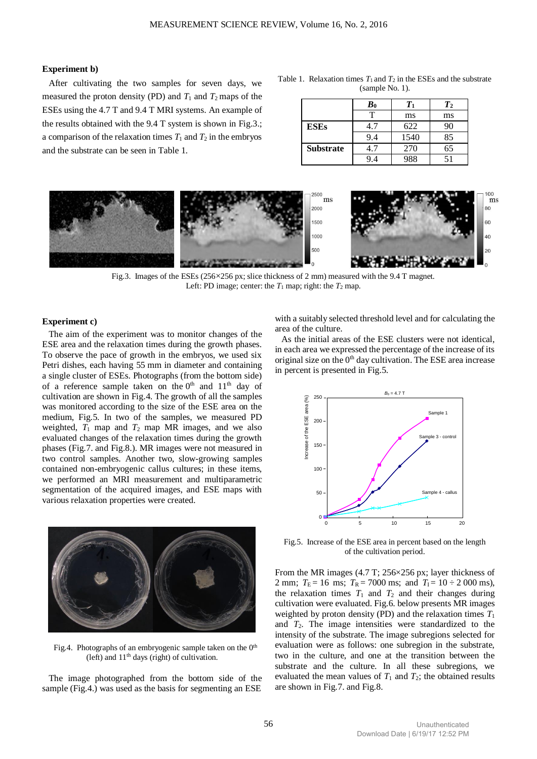## **Experiment b)**

After cultivating the two samples for seven days, we measured the proton density (PD) and  $T_1$  and  $T_2$  maps of the ESEs using the 4.7 T and 9.4 T MRI systems. An example of the results obtained with the 9.4 T system is shown in Fig.3.; a comparison of the relaxation times  $T_1$  and  $T_2$  in the embryos and the substrate can be seen in Table 1.

Table 1. Relaxation times  $T_1$  and  $T_2$  in the ESEs and the substrate (sample No. 1).

|                  | $\boldsymbol{B}_0$ | Tı   | T <sub>2</sub> |
|------------------|--------------------|------|----------------|
|                  | т                  | ms   | ms             |
| <b>ESEs</b>      | 4.7                | 622  | 90             |
|                  | 9.4                | 1540 | 85             |
| <b>Substrate</b> | 1.7                | 270  | 65             |
|                  | 94                 | 988  | 51             |



Fig.3. Images of the ESEs (256×256 px; slice thickness of 2 mm) measured with the 9.4 T magnet. Left: PD image; center: the  $T_1$  map; right: the  $T_2$  map.

## **Experiment c)**

The aim of the experiment was to monitor changes of the ESE area and the relaxation times during the growth phases. To observe the pace of growth in the embryos, we used six Petri dishes, each having 55 mm in diameter and containing a single cluster of ESEs. Photographs (from the bottom side) of a reference sample taken on the  $0<sup>th</sup>$  and  $11<sup>th</sup>$  day of cultivation are shown in Fig.4. The growth of all the samples was monitored according to the size of the ESE area on the medium, Fig.5. In two of the samples, we measured PD weighted,  $T_1$  map and  $T_2$  map MR images, and we also evaluated changes of the relaxation times during the growth phases (Fig.7. and Fig.8.). MR images were not measured in two control samples. Another two, slow-growing samples contained non-embryogenic callus cultures; in these items, we performed an MRI measurement and multiparametric segmentation of the acquired images, and ESE maps with various relaxation properties were created.



Fig.4. Photographs of an embryogenic sample taken on the 0<sup>th</sup> (left) and  $11<sup>th</sup>$  days (right) of cultivation.

The image photographed from the bottom side of the sample (Fig.4.) was used as the basis for segmenting an ESE

with a suitably selected threshold level and for calculating the area of the culture.

As the initial areas of the ESE clusters were not identical, in each area we expressed the percentage of the increase of its original size on the  $0<sup>th</sup>$  day cultivation. The ESE area increase in percent is presented in Fig.5.



Fig.5. Increase of the ESE area in percent based on the length of the cultivation period.

From the MR images (4.7 T; 256×256 px; layer thickness of 2 mm;  $T_E = 16$  ms;  $T_R = 7000$  ms; and  $T_I = 10 \div 2000$  ms), the relaxation times  $T_1$  and  $T_2$  and their changes during cultivation were evaluated. Fig.6. below presents MR images weighted by proton density (PD) and the relaxation times *T*<sup>1</sup> and *T*2. The image intensities were standardized to the intensity of the substrate. The image subregions selected for evaluation were as follows: one subregion in the substrate, two in the culture, and one at the transition between the substrate and the culture. In all these subregions, we evaluated the mean values of  $T_1$  and  $T_2$ ; the obtained results are shown in Fig.7. and Fig.8.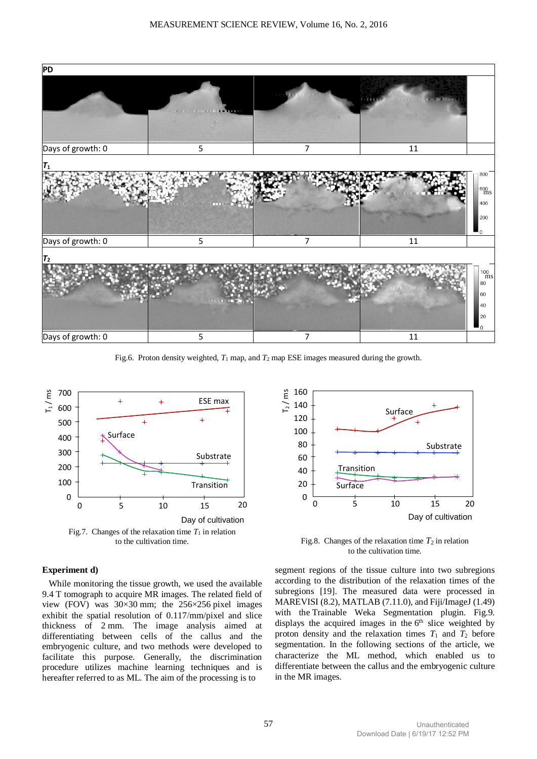

Fig.6. Proton density weighted,  $T_1$  map, and  $T_2$  map ESE images measured during the growth.



## **Experiment d)**

While monitoring the tissue growth, we used the available 9.4 T tomograph to acquire MR images. The related field of view (FOV) was 30×30 mm; the 256×256 pixel images exhibit the spatial resolution of 0.117mm/pixel and slice thickness of 2 mm. The image analysis aimed at differentiating between cells of the callus and the embryogenic culture, and two methods were developed to facilitate this purpose. Generally, the discrimination procedure utilizes machine learning techniques and is hereafter referred to as ML. The aim of the processing is to



Fig.8. Changes of the relaxation time  $T_2$  in relation to the cultivation time.

segment regions of the tissue culture into two subregions according to the distribution of the relaxation times of the subregions [19]. The measured data were processed in MAREVISI (8.2), MATLAB (7.11.0), and Fiji/ImageJ (1.49) with the Trainable Weka Segmentation plugin. Fig.9. displays the acquired images in the 6<sup>th</sup> slice weighted by proton density and the relaxation times  $T_1$  and  $T_2$  before segmentation. In the following sections of the article, we characterize the ML method, which enabled us to differentiate between the callus and the embryogenic culture in the MR images.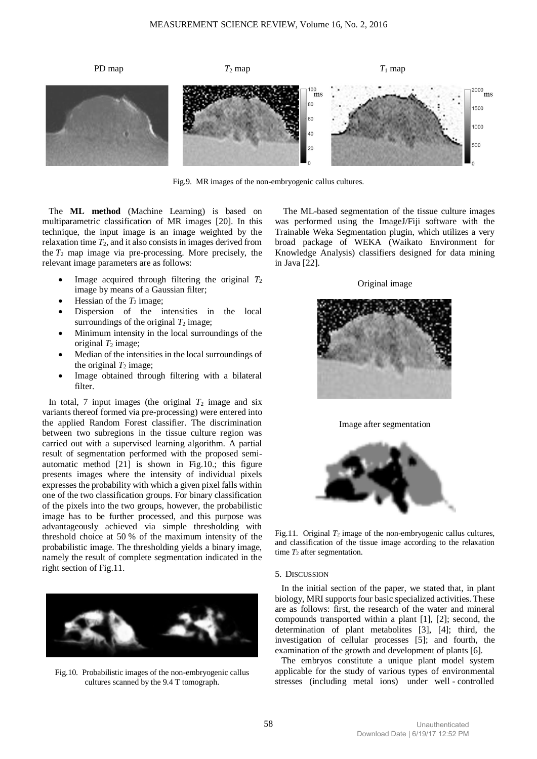

Fig.9. MR images of the non-embryogenic callus cultures.

The **ML method** (Machine Learning) is based on multiparametric classification of MR images [20]. In this technique, the input image is an image weighted by the relaxation time  $T_2$ , and it also consists in images derived from the  $T_2$  map image via pre-processing. More precisely, the relevant image parameters are as follows:

- Image acquired through filtering the original  $T_2$ image by means of a Gaussian filter;
- Hessian of the  $T_2$  image;
- Dispersion of the intensities in the local surroundings of the original  $T_2$  image;
- Minimum intensity in the local surroundings of the original  $T_2$  image;
- Median of the intensities in the local surroundings of the original  $T_2$  image;
- Image obtained through filtering with a bilateral filter.

In total, 7 input images (the original  $T_2$  image and six variants thereof formed via pre-processing) were entered into the applied Random Forest classifier. The discrimination between two subregions in the tissue culture region was carried out with a supervised learning algorithm. A partial result of segmentation performed with the proposed semiautomatic method [21] is shown in Fig.10.; this figure presents images where the intensity of individual pixels expresses the probability with which a given pixel falls within one of the two classification groups. For binary classification of the pixels into the two groups, however, the probabilistic image has to be further processed, and this purpose was advantageously achieved via simple thresholding with threshold choice at 50 % of the maximum intensity of the probabilistic image. The thresholding yields a binary image, namely the result of complete segmentation indicated in the right section of Fig.11.



Fig.10. Probabilistic images of the non-embryogenic callus cultures scanned by the 9.4 T tomograph.

 The ML-based segmentation of the tissue culture images was performed using the ImageJ/Fiji software with the Trainable Weka Segmentation plugin, which utilizes a very broad package of WEKA (Waikato Environment for Knowledge Analysis) classifiers designed for data mining in Java [22].

Original image







Fig.11. Original  $T_2$  image of the non-embryogenic callus cultures, and classification of the tissue image according to the relaxation time  $T_2$  after segmentation.

#### 5. DISCUSSION

In the initial section of the paper, we stated that, in plant biology, MRI supports four basic specialized activities. These are as follows: first, the research of the water and mineral compounds transported within a plant [1], [2]; second, the determination of plant metabolites [3], [4]; third, the investigation of cellular processes [5]; and fourth, the examination of the growth and development of plants [6].

The embryos constitute a unique plant model system applicable for the study of various types of environmental stresses (including metal ions) under well - controlled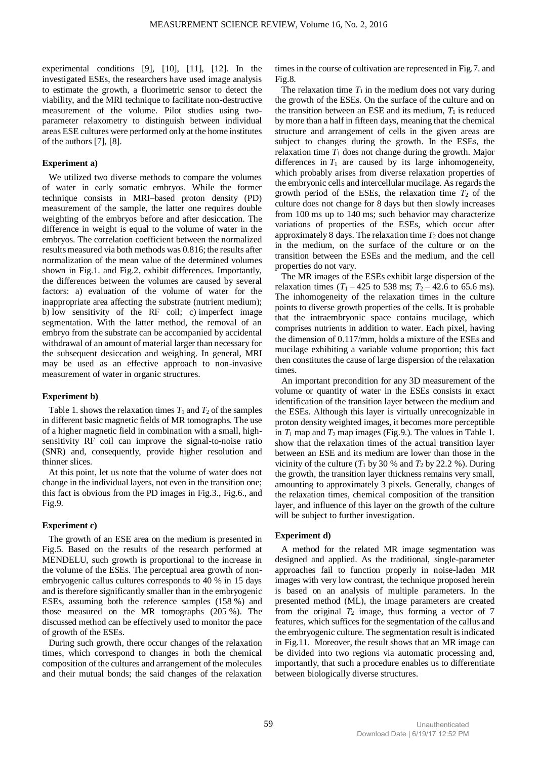experimental conditions [9], [10], [11], [12]. In the investigated ESEs, the researchers have used image analysis to estimate the growth, a fluorimetric sensor to detect the viability, and the MRI technique to facilitate non-destructive measurement of the volume. Pilot studies using twoparameter relaxometry to distinguish between individual areas ESE cultures were performed only at the home institutes of the authors [7], [8].

## **Experiment a)**

We utilized two diverse methods to compare the volumes of water in early somatic embryos. While the former technique consists in MRI–based proton density (PD) measurement of the sample, the latter one requires double weighting of the embryos before and after desiccation. The difference in weight is equal to the volume of water in the embryos. The correlation coefficient between the normalized results measured via both methods was 0.816; the results after normalization of the mean value of the determined volumes shown in Fig.1. and Fig.2. exhibit differences. Importantly, the differences between the volumes are caused by several factors: a) evaluation of the volume of water for the inappropriate area affecting the substrate (nutrient medium); b) low sensitivity of the RF coil; c) imperfect image segmentation. With the latter method, the removal of an embryo from the substrate can be accompanied by accidental withdrawal of an amount of material larger than necessary for the subsequent desiccation and weighing. In general, MRI may be used as an effective approach to non-invasive measurement of water in organic structures.

#### **Experiment b)**

Table 1. shows the relaxation times  $T_1$  and  $T_2$  of the samples in different basic magnetic fields of MR tomographs. The use of a higher magnetic field in combination with a small, highsensitivity RF coil can improve the signal-to-noise ratio (SNR) and, consequently, provide higher resolution and thinner slices.

At this point, let us note that the volume of water does not change in the individual layers, not even in the transition one; this fact is obvious from the PD images in Fig.3., Fig.6., and Fig.9.

## **Experiment c)**

The growth of an ESE area on the medium is presented in Fig.5. Based on the results of the research performed at MENDELU, such growth is proportional to the increase in the volume of the ESEs. The perceptual area growth of nonembryogenic callus cultures corresponds to 40 % in 15 days and is therefore significantly smaller than in the embryogenic ESEs, assuming both the reference samples (158 %) and those measured on the MR tomographs (205 %). The discussed method can be effectively used to monitor the pace of growth of the ESEs.

During such growth, there occur changes of the relaxation times, which correspond to changes in both the chemical composition of the cultures and arrangement of the molecules and their mutual bonds; the said changes of the relaxation times in the course of cultivation are represented in Fig.7. and Fig.8.

The relaxation time  $T_1$  in the medium does not vary during the growth of the ESEs. On the surface of the culture and on the transition between an ESE and its medium,  $T_1$  is reduced by more than a half in fifteen days, meaning that the chemical structure and arrangement of cells in the given areas are subject to changes during the growth. In the ESEs, the relaxation time  $T_1$  does not change during the growth. Major differences in  $T_1$  are caused by its large inhomogeneity, which probably arises from diverse relaxation properties of the embryonic cells and intercellular mucilage. As regards the growth period of the ESEs, the relaxation time  $T_2$  of the culture does not change for 8 days but then slowly increases from 100 ms up to 140 ms; such behavior may characterize variations of properties of the ESEs, which occur after approximately 8 days. The relaxation time  $T_2$  does not change in the medium, on the surface of the culture or on the transition between the ESEs and the medium, and the cell properties do not vary.

The MR images of the ESEs exhibit large dispersion of the relaxation times  $(T_1 - 425$  to 538 ms;  $T_2 - 42.6$  to 65.6 ms). The inhomogeneity of the relaxation times in the culture points to diverse growth properties of the cells. It is probable that the intraembryonic space contains mucilage, which comprises nutrients in addition to water. Each pixel, having the dimension of 0.117/mm, holds a mixture of the ESEs and mucilage exhibiting a variable volume proportion; this fact then constitutes the cause of large dispersion of the relaxation times.

An important precondition for any 3D measurement of the volume or quantity of water in the ESEs consists in exact identification of the transition layer between the medium and the ESEs. Although this layer is virtually unrecognizable in proton density weighted images, it becomes more perceptible in  $T_1$  map and  $T_2$  map images (Fig.9.). The values in Table 1. show that the relaxation times of the actual transition layer between an ESE and its medium are lower than those in the vicinity of the culture  $(T_1$  by 30 % and  $T_2$  by 22.2 %). During the growth, the transition layer thickness remains very small, amounting to approximately 3 pixels. Generally, changes of the relaxation times, chemical composition of the transition layer, and influence of this layer on the growth of the culture will be subject to further investigation.

#### **Experiment d)**

A method for the related MR image segmentation was designed and applied. As the traditional, single-parameter approaches fail to function properly in noise-laden MR images with very low contrast, the technique proposed herein is based on an analysis of multiple parameters. In the presented method (ML), the image parameters are created from the original  $T_2$  image, thus forming a vector of 7 features, which suffices for the segmentation of the callus and the embryogenic culture. The segmentation result is indicated in Fig.11. Moreover, the result shows that an MR image can be divided into two regions via automatic processing and, importantly, that such a procedure enables us to differentiate between biologically diverse structures.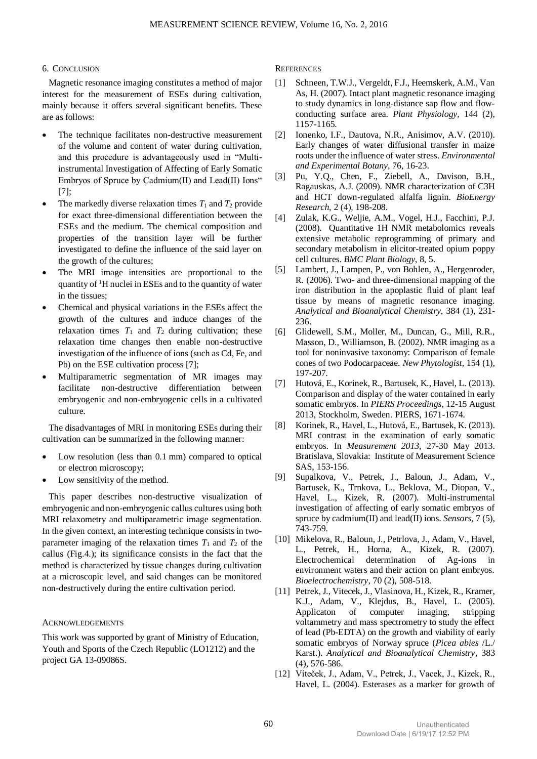# 6. CONCLUSION

Magnetic resonance imaging constitutes a method of major interest for the measurement of ESEs during cultivation, mainly because it offers several significant benefits. These are as follows:

- The technique facilitates non-destructive measurement of the volume and content of water during cultivation, and this procedure is advantageously used in "Multiinstrumental Investigation of Affecting of Early Somatic Embryos of Spruce by Cadmium(II) and Lead(II) Ions" [7];
- The markedly diverse relaxation times  $T_1$  and  $T_2$  provide for exact three-dimensional differentiation between the ESEs and the medium. The chemical composition and properties of the transition layer will be further investigated to define the influence of the said layer on the growth of the cultures;
- The MRI image intensities are proportional to the quantity of  ${}^{1}$ H nuclei in ESEs and to the quantity of water in the tissues;
- Chemical and physical variations in the ESEs affect the growth of the cultures and induce changes of the relaxation times  $T_1$  and  $T_2$  during cultivation; these relaxation time changes then enable non-destructive investigation of the influence of ions (such as Cd, Fe, and Pb) on the ESE cultivation process [7];
- Multiparametric segmentation of MR images may facilitate non-destructive differentiation between embryogenic and non-embryogenic cells in a cultivated culture.

The disadvantages of MRI in monitoring ESEs during their cultivation can be summarized in the following manner:

- Low resolution (less than 0.1 mm) compared to optical or electron microscopy;
- Low sensitivity of the method.

This paper describes non-destructive visualization of embryogenic and non-embryogenic callus cultures using both MRI relaxometry and multiparametric image segmentation. In the given context, an interesting technique consists in twoparameter imaging of the relaxation times  $T_1$  and  $T_2$  of the callus (Fig.4.); its significance consists in the fact that the method is characterized by tissue changes during cultivation at a microscopic level, and said changes can be monitored non-destructively during the entire cultivation period.

# ACKNOWLEDGEMENTS

This work was supported by grant of Ministry of Education, Youth and Sports of the Czech Republic (LO1212) and the project GA 13-09086S.

**REFERENCES** 

- [1] Schneen, T.W.J., Vergeldt, F.J., Heemskerk, A.M., Van As, H. (2007). Intact plant magnetic resonance imaging to study dynamics in long-distance sap flow and flowconducting surface area. *Plant Physiology*, 144 (2), 1157-1165.
- [2] Ionenko, I.F., Dautova, N.R., Anisimov, A.V. (2010). Early changes of water diffusional transfer in maize roots under the influence of water stress. *Environmental and Experimental Botany*, 76, 16-23.
- [3] Pu, Y.Q., Chen, F., Ziebell, A., Davison, B.H., Ragauskas, A.J. (2009). NMR characterization of C3H and HCT down-regulated alfalfa lignin. *BioEnergy Research*, 2 (4), 198-208.
- [4] Zulak, K.G., Weljie, A.M., Vogel, H.J., Facchini, P.J. (2008). Quantitative 1H NMR metabolomics reveals extensive metabolic reprogramming of primary and secondary metabolism in elicitor-treated opium poppy cell cultures. *BMC Plant Biology*, 8, 5.
- [5] Lambert, J., Lampen, P., von Bohlen, A., Hergenroder, R. (2006). Two- and three-dimensional mapping of the iron distribution in the apoplastic fluid of plant leaf tissue by means of magnetic resonance imaging. *Analytical and Bioanalytical Chemistry*, 384 (1), 231- 236.
- [6] Glidewell, S.M., Moller, M., Duncan, G., Mill, R.R., Masson, D., Williamson, B. (2002). NMR imaging as a tool for noninvasive taxonomy: Comparison of female cones of two Podocarpaceae. *New Phytologist*, 154 (1), 197-207.
- [7] Hutová, E., Korinek, R., Bartusek, K., Havel, L. (2013). Comparison and display of the water contained in early somatic embryos. In *PIERS Proceedings*, 12-15 August 2013, Stockholm, Sweden. PIERS, 1671-1674.
- [8] Korinek, R., Havel, L., Hutová, E., Bartusek, K. (2013). MRI contrast in the examination of early somatic embryos. In *Measurement 2013*, 27-30 May 2013. Bratislava, Slovakia: Institute of Measurement Science SAS, 153-156.
- [9] Supalkova, V., Petrek, J., Baloun, J., Adam, V., Bartusek, K., Trnkova, L., Beklova, M., Diopan, V., Havel, L., Kizek, R. (2007). Multi-instrumental investigation of affecting of early somatic embryos of spruce by cadmium(II) and lead(II) ions. *Sensors*, 7 (5), 743-759.
- [10] Mikelova, R., Baloun, J., Petrlova, J., Adam, V., Havel, L., Petrek, H., Horna, A., Kizek, R. (2007). Electrochemical determination of Ag-ions in environment waters and their action on plant embryos. *Bioelectrochemistry*, 70 (2), 508-518.
- [11] Petrek, J., Vitecek, J., Vlasinova, H., Kizek, R., Kramer, K.J., Adam, V., Klejdus, B., Havel, L. (2005). Applicaton of computer imaging, stripping voltammetry and mass spectrometry to study the effect of lead (Pb-EDTA) on the growth and viability of early somatic embryos of Norway spruce (*Picea abies* /L./ Karst.). *Analytical and Bioanalytical Chemistry*, 383 (4), 576-586.
- [12] Víteček, J., Adam, V., Petrek, J., Vacek, J., Kizek, R., Havel, L. (2004). Esterases as a marker for growth of